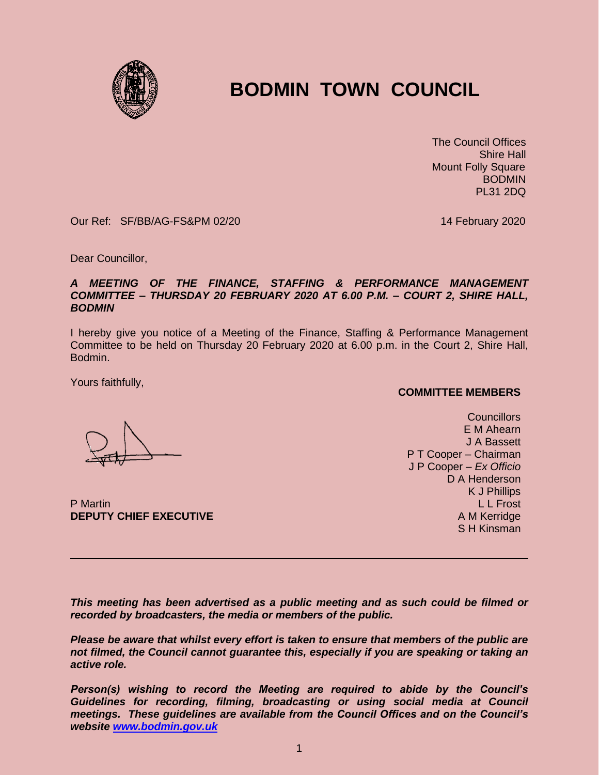

# **BODMIN TOWN COUNCIL**

 The Council Offices Shire Hall Mount Folly Square **BODMIN** PL31 2DQ

Our Ref: SF/BB/AG-FS&PM 02/20 14 February 2020

Dear Councillor,

### *A MEETING OF THE FINANCE, STAFFING & PERFORMANCE MANAGEMENT COMMITTEE – THURSDAY 20 FEBRUARY 2020 AT 6.00 P.M. – COURT 2, SHIRE HALL, BODMIN*

I hereby give you notice of a Meeting of the Finance, Staffing & Performance Management Committee to be held on Thursday 20 February 2020 at 6.00 p.m. in the Court 2, Shire Hall, Bodmin.

Yours faithfully,

**COMMITTEE MEMBERS**

**Councillors** E M Ahearn J A Bassett P T Cooper – Chairman J P Cooper – *Ex Officio* D A Henderson K J Phillips L L Frost A M Kerridge S H Kinsman

P Martin **DEPUTY CHIEF EXECUTIVE**

*This meeting has been advertised as a public meeting and as such could be filmed or recorded by broadcasters, the media or members of the public.*

*Please be aware that whilst every effort is taken to ensure that members of the public are not filmed, the Council cannot guarantee this, especially if you are speaking or taking an active role.*

*Person(s) wishing to record the Meeting are required to abide by the Council's Guidelines for recording, filming, broadcasting or using social media at Council meetings. These guidelines are available from the Council Offices and on the Council's website [www.bodmin.gov.uk](http://www.bodmin.gov.uk/)*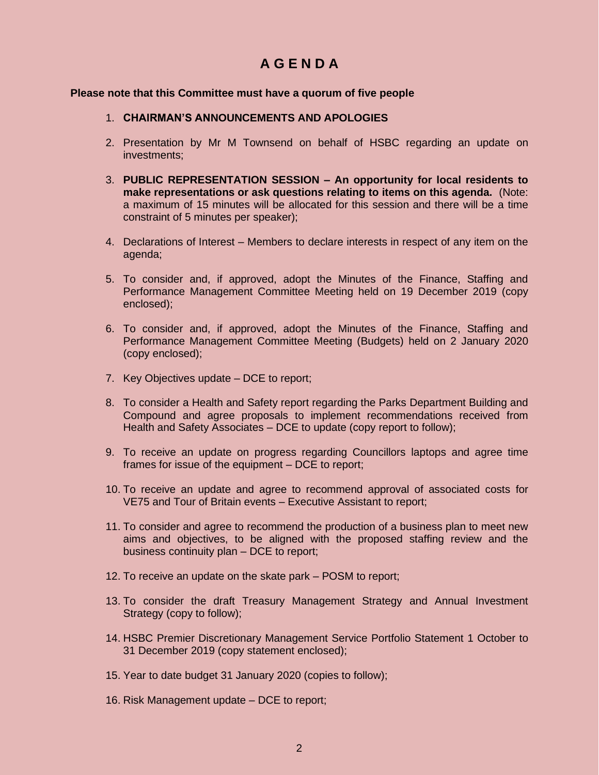## **A G E N D A**

### **Please note that this Committee must have a quorum of five people**

### 1. **CHAIRMAN'S ANNOUNCEMENTS AND APOLOGIES**

- 2. Presentation by Mr M Townsend on behalf of HSBC regarding an update on investments;
- 3. **PUBLIC REPRESENTATION SESSION – An opportunity for local residents to make representations or ask questions relating to items on this agenda.** (Note: a maximum of 15 minutes will be allocated for this session and there will be a time constraint of 5 minutes per speaker);
- 4. Declarations of Interest Members to declare interests in respect of any item on the agenda;
- 5. To consider and, if approved, adopt the Minutes of the Finance, Staffing and Performance Management Committee Meeting held on 19 December 2019 (copy enclosed);
- 6. To consider and, if approved, adopt the Minutes of the Finance, Staffing and Performance Management Committee Meeting (Budgets) held on 2 January 2020 (copy enclosed);
- 7. Key Objectives update DCE to report;
- 8. To consider a Health and Safety report regarding the Parks Department Building and Compound and agree proposals to implement recommendations received from Health and Safety Associates – DCE to update (copy report to follow);
- 9. To receive an update on progress regarding Councillors laptops and agree time frames for issue of the equipment – DCE to report;
- 10. To receive an update and agree to recommend approval of associated costs for VE75 and Tour of Britain events – Executive Assistant to report;
- 11. To consider and agree to recommend the production of a business plan to meet new aims and objectives, to be aligned with the proposed staffing review and the business continuity plan – DCE to report;
- 12. To receive an update on the skate park POSM to report;
- 13. To consider the draft Treasury Management Strategy and Annual Investment Strategy (copy to follow);
- 14. HSBC Premier Discretionary Management Service Portfolio Statement 1 October to 31 December 2019 (copy statement enclosed);
- 15. Year to date budget 31 January 2020 (copies to follow);
- 16. Risk Management update DCE to report;